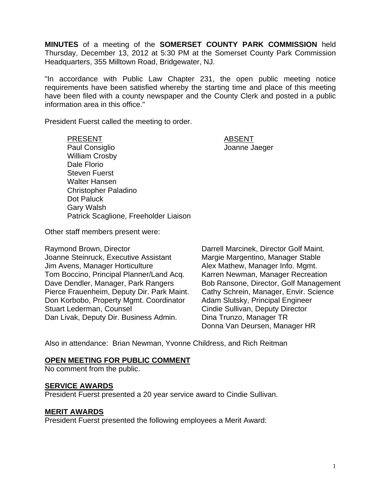**MINUTES** of a meeting of the **SOMERSET COUNTY PARK COMMISSION** held Thursday, December 13, 2012 at 5:30 PM at the Somerset County Park Commission Headquarters, 355 Milltown Road, Bridgewater, NJ.

"In accordance with Public Law Chapter 231, the open public meeting notice requirements have been satisfied whereby the starting time and place of this meeting have been filed with a county newspaper and the County Clerk and posted in a public information area in this office."

President Fuerst called the meeting to order.

PRESENT ABSENT Paul Consiglio and Consiglio According to the United States of Joanne Jaeger William Crosby Dale Florio Steven Fuerst Walter Hansen Christopher Paladino Dot Paluck Gary Walsh Patrick Scaglione, Freeholder Liaison

Other staff members present were:

Raymond Brown, Director **Darrell Marcinek, Director Golf Maint.** Joanne Steinruck, Executive Assistant Margie Margentino, Manager Stable Jim Avens, Manager Horticulture **Alex Mathew, Manager Info. Mgmt.** Tom Boccino, Principal Planner/Land Acq. Karren Newman, Manager Recreation Dave Dendler, Manager, Park Rangers Bob Ransone, Director, Golf Management Pierce Frauenheim, Deputy Dir. Park Maint. Cathy Schrein, Manager, Envir. Science Don Korbobo, Property Mgmt. Coordinator Adam Slutsky, Principal Engineer Stuart Lederman, Counsel **Conserverse Constant Conserverse Cindie Sullivan, Deputy Director** Dan Livak, Deputy Dir. Business Admin. Dina Trunzo, Manager TR

Donna Van Deursen, Manager HR

Also in attendance: Brian Newman, Yvonne Childress, and Rich Reitman

#### **OPEN MEETING FOR PUBLIC COMMENT**

No comment from the public.

#### **SERVICE AWARDS**

President Fuerst presented a 20 year service award to Cindie Sullivan.

#### **MERIT AWARDS**

President Fuerst presented the following employees a Merit Award: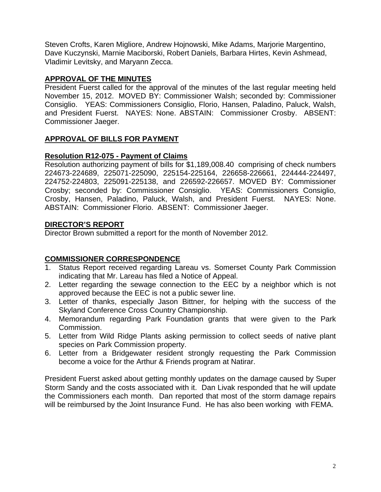Steven Crofts, Karen Migliore, Andrew Hojnowski, Mike Adams, Marjorie Margentino, Dave Kuczynski, Marnie Maciborski, Robert Daniels, Barbara Hirtes, Kevin Ashmead, Vladimir Levitsky, and Maryann Zecca.

# **APPROVAL OF THE MINUTES**

President Fuerst called for the approval of the minutes of the last regular meeting held November 15, 2012. MOVED BY: Commissioner Walsh; seconded by: Commissioner Consiglio. YEAS: Commissioners Consiglio, Florio, Hansen, Paladino, Paluck, Walsh, and President Fuerst. NAYES: None. ABSTAIN: Commissioner Crosby. ABSENT: Commissioner Jaeger.

# **APPROVAL OF BILLS FOR PAYMENT**

# **Resolution R12-075 - Payment of Claims**

Resolution authorizing payment of bills for \$1,189,008.40 comprising of check numbers 224673-224689, 225071-225090, 225154-225164, 226658-226661, 224444-224497, 224752-224803, 225091-225138, and 226592-226657. MOVED BY: Commissioner Crosby; seconded by: Commissioner Consiglio. YEAS: Commissioners Consiglio, Crosby, Hansen, Paladino, Paluck, Walsh, and President Fuerst. NAYES: None. ABSTAIN: Commissioner Florio. ABSENT: Commissioner Jaeger.

# **DIRECTOR'S REPORT**

Director Brown submitted a report for the month of November 2012.

# **COMMISSIONER CORRESPONDENCE**

- Status Report received regarding Lareau vs. Somerset County Park Commission indicating that Mr. Lareau has filed a Notice of Appeal.
- 2. Letter regarding the sewage connection to the EEC by a neighbor which is not approved because the EEC is not a public sewer line.
- 3. Letter of thanks, especially Jason Bittner, for helping with the success of the Skyland Conference Cross Country Championship.
- 4. Memorandum regarding Park Foundation grants that were given to the Park Commission.
- 5. Letter from Wild Ridge Plants asking permission to collect seeds of native plant species on Park Commission property.
- 6. Letter from a Bridgewater resident strongly requesting the Park Commission become a voice for the Arthur & Friends program at Natirar.

President Fuerst asked about getting monthly updates on the damage caused by Super Storm Sandy and the costs associated with it. Dan Livak responded that he will update the Commissioners each month. Dan reported that most of the storm damage repairs will be reimbursed by the Joint Insurance Fund. He has also been working with FEMA.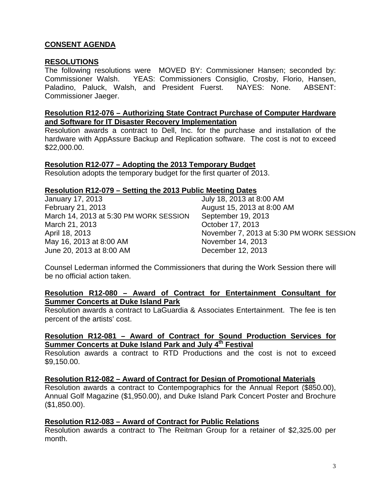# **CONSENT AGENDA**

### **RESOLUTIONS**

The following resolutions were MOVED BY: Commissioner Hansen; seconded by: Commissioner Walsh. YEAS: Commissioners Consiglio, Crosby, Florio, Hansen, Paladino, Paluck, Walsh, and President Fuerst. NAYES: None. ABSENT: Commissioner Jaeger.

### **Resolution R12-076 – Authorizing State Contract Purchase of Computer Hardware and Software for IT Disaster Recovery Implementation**

Resolution awards a contract to Dell, Inc. for the purchase and installation of the hardware with AppAssure Backup and Replication software. The cost is not to exceed \$22,000.00.

#### **Resolution R12-077 – Adopting the 2013 Temporary Budget**

Resolution adopts the temporary budget for the first quarter of 2013.

#### **Resolution R12-079 – Setting the 2013 Public Meeting Dates**

| January 17, 2013                       | July 18, 2013 at 8:00 AM                 |
|----------------------------------------|------------------------------------------|
| February 21, 2013                      | August 15, 2013 at 8:00 AM               |
| March 14, 2013 at 5:30 PM WORK SESSION | September 19, 2013                       |
| March 21, 2013                         | October 17, 2013                         |
| April 18, 2013                         | November 7, 2013 at 5:30 PM WORK SESSION |
| May 16, 2013 at 8:00 AM                | November 14, 2013                        |
| June 20, 2013 at 8:00 AM               | December 12, 2013                        |

Counsel Lederman informed the Commissioners that during the Work Session there will be no official action taken.

### **Resolution R12-080 – Award of Contract for Entertainment Consultant for Summer Concerts at Duke Island Park**

Resolution awards a contract to LaGuardia & Associates Entertainment. The fee is ten percent of the artists' cost.

# **Resolution R12-081 – Award of Contract for Sound Production Services for Summer Concerts at Duke Island Park and July 4th Festival**

Resolution awards a contract to RTD Productions and the cost is not to exceed \$9,150.00.

#### **Resolution R12-082 – Award of Contract for Design of Promotional Materials**

Resolution awards a contract to Contempographics for the Annual Report (\$850.00), Annual Golf Magazine (\$1,950.00), and Duke Island Park Concert Poster and Brochure (\$1,850.00).

#### **Resolution R12-083 – Award of Contract for Public Relations**

Resolution awards a contract to The Reitman Group for a retainer of \$2,325.00 per month.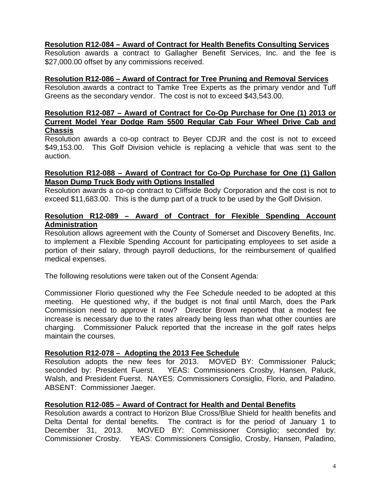## **Resolution R12-084 – Award of Contract for Health Benefits Consulting Services**

Resolution awards a contract to Gallagher Benefit Services, Inc. and the fee is \$27,000.00 offset by any commissions received.

## **Resolution R12-086 – Award of Contract for Tree Pruning and Removal Services**

Resolution awards a contract to Tamke Tree Experts as the primary vendor and Tuff Greens as the secondary vendor. The cost is not to exceed \$43,543.00.

### **Resolution R12-087 – Award of Contract for Co-Op Purchase for One (1) 2013 or Current Model Year Dodge Ram 5500 Regular Cab Four Wheel Drive Cab and Chassis**

Resolution awards a co-op contract to Beyer CDJR and the cost is not to exceed \$49,153.00. This Golf Division vehicle is replacing a vehicle that was sent to the auction.

# **Resolution R12-088 – Award of Contract for Co-Op Purchase for One (1) Gallon Mason Dump Truck Body with Options Installed**

Resolution awards a co-op contract to Cliffside Body Corporation and the cost is not to exceed \$11,683.00. This is the dump part of a truck to be used by the Golf Division.

# **Resolution R12-089 – Award of Contract for Flexible Spending Account Administration**

Resolution allows agreement with the County of Somerset and Discovery Benefits, Inc. to implement a Flexible Spending Account for participating employees to set aside a portion of their salary, through payroll deductions, for the reimbursement of qualified medical expenses.

The following resolutions were taken out of the Consent Agenda:

Commissioner Florio questioned why the Fee Schedule needed to be adopted at this meeting. He questioned why, if the budget is not final until March, does the Park Commission need to approve it now? Director Brown reported that a modest fee increase is necessary due to the rates already being less than what other counties are charging. Commissioner Paluck reported that the increase in the golf rates helps maintain the courses.

## **Resolution R12-078 – Adopting the 2013 Fee Schedule**

Resolution adopts the new fees for 2013. MOVED BY: Commissioner Paluck; seconded by: President Fuerst. YEAS: Commissioners Crosby, Hansen, Paluck, Walsh, and President Fuerst. NAYES: Commissioners Consiglio, Florio, and Paladino. ABSENT: Commissioner Jaeger.

## **Resolution R12-085 – Award of Contract for Health and Dental Benefits**

Resolution awards a contract to Horizon Blue Cross/Blue Shield for health benefits and Delta Dental for dental benefits. The contract is for the period of January 1 to December 31, 2013. MOVED BY: Commissioner Consiglio; seconded by: Commissioner Crosby. YEAS: Commissioners Consiglio, Crosby, Hansen, Paladino,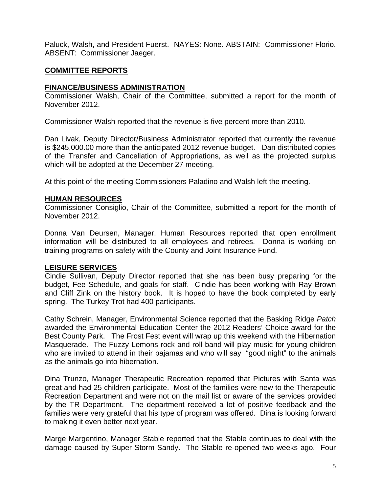Paluck, Walsh, and President Fuerst. NAYES: None. ABSTAIN: Commissioner Florio. ABSENT: Commissioner Jaeger.

# **COMMITTEE REPORTS**

# **FINANCE/BUSINESS ADMINISTRATION**

Commissioner Walsh, Chair of the Committee, submitted a report for the month of November 2012.

Commissioner Walsh reported that the revenue is five percent more than 2010.

Dan Livak, Deputy Director/Business Administrator reported that currently the revenue is \$245,000.00 more than the anticipated 2012 revenue budget. Dan distributed copies of the Transfer and Cancellation of Appropriations, as well as the projected surplus which will be adopted at the December 27 meeting.

At this point of the meeting Commissioners Paladino and Walsh left the meeting.

## **HUMAN RESOURCES**

Commissioner Consiglio, Chair of the Committee, submitted a report for the month of November 2012.

Donna Van Deursen, Manager, Human Resources reported that open enrollment information will be distributed to all employees and retirees. Donna is working on training programs on safety with the County and Joint Insurance Fund.

## **LEISURE SERVICES**

Cindie Sullivan, Deputy Director reported that she has been busy preparing for the budget, Fee Schedule, and goals for staff. Cindie has been working with Ray Brown and Cliff Zink on the history book. It is hoped to have the book completed by early spring. The Turkey Trot had 400 participants.

Cathy Schrein, Manager, Environmental Science reported that the Basking Ridge *Patch*  awarded the Environmental Education Center the 2012 Readers' Choice award for the Best County Park. The Frost Fest event will wrap up this weekend with the Hibernation Masquerade. The Fuzzy Lemons rock and roll band will play music for young children who are invited to attend in their pajamas and who will say "good night" to the animals as the animals go into hibernation.

Dina Trunzo, Manager Therapeutic Recreation reported that Pictures with Santa was great and had 25 children participate. Most of the families were new to the Therapeutic Recreation Department and were not on the mail list or aware of the services provided by the TR Department. The department received a lot of positive feedback and the families were very grateful that his type of program was offered. Dina is looking forward to making it even better next year.

Marge Margentino, Manager Stable reported that the Stable continues to deal with the damage caused by Super Storm Sandy. The Stable re-opened two weeks ago. Four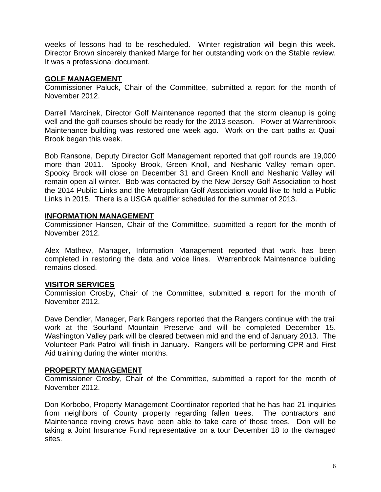weeks of lessons had to be rescheduled. Winter registration will begin this week. Director Brown sincerely thanked Marge for her outstanding work on the Stable review. It was a professional document.

# **GOLF MANAGEMENT**

Commissioner Paluck, Chair of the Committee, submitted a report for the month of November 2012.

Darrell Marcinek, Director Golf Maintenance reported that the storm cleanup is going well and the golf courses should be ready for the 2013 season. Power at Warrenbrook Maintenance building was restored one week ago. Work on the cart paths at Quail Brook began this week.

Bob Ransone, Deputy Director Golf Management reported that golf rounds are 19,000 more than 2011. Spooky Brook, Green Knoll, and Neshanic Valley remain open. Spooky Brook will close on December 31 and Green Knoll and Neshanic Valley will remain open all winter. Bob was contacted by the New Jersey Golf Association to host the 2014 Public Links and the Metropolitan Golf Association would like to hold a Public Links in 2015. There is a USGA qualifier scheduled for the summer of 2013.

## **INFORMATION MANAGEMENT**

Commissioner Hansen, Chair of the Committee, submitted a report for the month of November 2012.

Alex Mathew, Manager, Information Management reported that work has been completed in restoring the data and voice lines. Warrenbrook Maintenance building remains closed.

# **VISITOR SERVICES**

Commission Crosby, Chair of the Committee, submitted a report for the month of November 2012.

Dave Dendler, Manager, Park Rangers reported that the Rangers continue with the trail work at the Sourland Mountain Preserve and will be completed December 15. Washington Valley park will be cleared between mid and the end of January 2013. The Volunteer Park Patrol will finish in January. Rangers will be performing CPR and First Aid training during the winter months.

## **PROPERTY MANAGEMENT**

Commissioner Crosby, Chair of the Committee, submitted a report for the month of November 2012.

Don Korbobo, Property Management Coordinator reported that he has had 21 inquiries from neighbors of County property regarding fallen trees. The contractors and Maintenance roving crews have been able to take care of those trees. Don will be taking a Joint Insurance Fund representative on a tour December 18 to the damaged sites.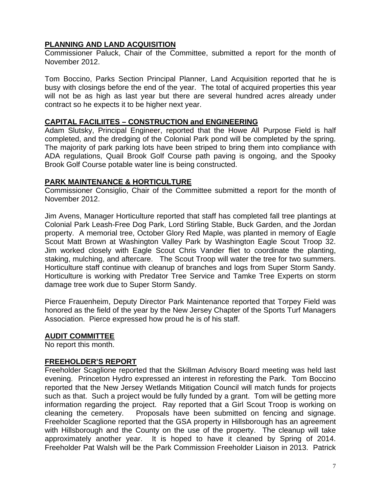# **PLANNING AND LAND ACQUISITION**

Commissioner Paluck, Chair of the Committee, submitted a report for the month of November 2012.

Tom Boccino, Parks Section Principal Planner, Land Acquisition reported that he is busy with closings before the end of the year. The total of acquired properties this year will not be as high as last year but there are several hundred acres already under contract so he expects it to be higher next year.

### **CAPITAL FACILIITES – CONSTRUCTION and ENGINEERING**

Adam Slutsky, Principal Engineer, reported that the Howe All Purpose Field is half completed, and the dredging of the Colonial Park pond will be completed by the spring. The majority of park parking lots have been striped to bring them into compliance with ADA regulations, Quail Brook Golf Course path paving is ongoing, and the Spooky Brook Golf Course potable water line is being constructed.

# **PARK MAINTENANCE & HORTICULTURE**

Commissioner Consiglio, Chair of the Committee submitted a report for the month of November 2012.

Jim Avens, Manager Horticulture reported that staff has completed fall tree plantings at Colonial Park Leash-Free Dog Park, Lord Stirling Stable, Buck Garden, and the Jordan property. A memorial tree, October Glory Red Maple, was planted in memory of Eagle Scout Matt Brown at Washington Valley Park by Washington Eagle Scout Troop 32. Jim worked closely with Eagle Scout Chris Vander fliet to coordinate the planting, staking, mulching, and aftercare. The Scout Troop will water the tree for two summers. Horticulture staff continue with cleanup of branches and logs from Super Storm Sandy. Horticulture is working with Predator Tree Service and Tamke Tree Experts on storm damage tree work due to Super Storm Sandy.

Pierce Frauenheim, Deputy Director Park Maintenance reported that Torpey Field was honored as the field of the year by the New Jersey Chapter of the Sports Turf Managers Association. Pierce expressed how proud he is of his staff.

## **AUDIT COMMITTEE**

No report this month.

## **FREEHOLDER'S REPORT**

Freeholder Scaglione reported that the Skillman Advisory Board meeting was held last evening. Princeton Hydro expressed an interest in reforesting the Park. Tom Boccino reported that the New Jersey Wetlands Mitigation Council will match funds for projects such as that. Such a project would be fully funded by a grant. Tom will be getting more information regarding the project. Ray reported that a Girl Scout Troop is working on cleaning the cemetery. Proposals have been submitted on fencing and signage. Freeholder Scaglione reported that the GSA property in Hillsborough has an agreement with Hillsborough and the County on the use of the property. The cleanup will take approximately another year. It is hoped to have it cleaned by Spring of 2014. Freeholder Pat Walsh will be the Park Commission Freeholder Liaison in 2013. Patrick